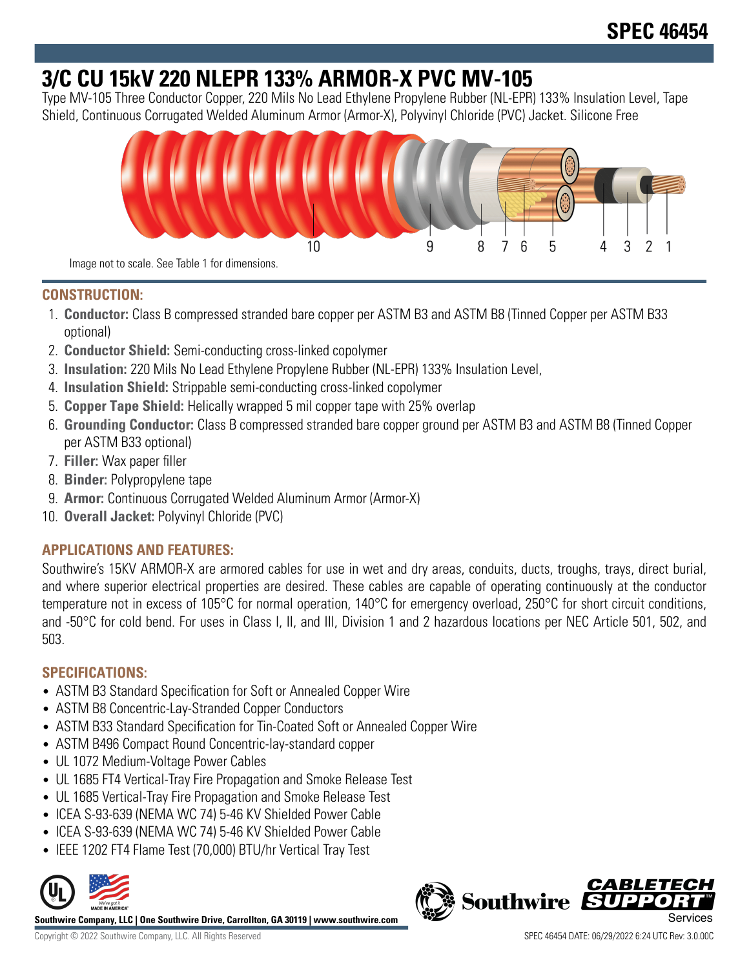# **3/C CU 15kV 220 NLEPR 133% ARMOR-X PVC MV-105**

Type MV-105 Three Conductor Copper, 220 Mils No Lead Ethylene Propylene Rubber (NL-EPR) 133% Insulation Level, Tape Shield, Continuous Corrugated Welded Aluminum Armor (Armor-X), Polyvinyl Chloride (PVC) Jacket. Silicone Free



#### **CONSTRUCTION:**

- 1. **Conductor:** Class B compressed stranded bare copper per ASTM B3 and ASTM B8 (Tinned Copper per ASTM B33 optional)
- 2. **Conductor Shield:** Semi-conducting cross-linked copolymer
- 3. **Insulation:** 220 Mils No Lead Ethylene Propylene Rubber (NL-EPR) 133% Insulation Level,
- 4. **Insulation Shield:** Strippable semi-conducting cross-linked copolymer
- 5. **Copper Tape Shield:** Helically wrapped 5 mil copper tape with 25% overlap
- 6. **Grounding Conductor:** Class B compressed stranded bare copper ground per ASTM B3 and ASTM B8 (Tinned Copper per ASTM B33 optional)
- 7. **Filler:** Wax paper filler
- 8. **Binder:** Polypropylene tape
- 9. **Armor:** Continuous Corrugated Welded Aluminum Armor (Armor-X)
- 10. **Overall Jacket:** Polyvinyl Chloride (PVC)

## **APPLICATIONS AND FEATURES:**

Southwire's 15KV ARMOR-X are armored cables for use in wet and dry areas, conduits, ducts, troughs, trays, direct burial, and where superior electrical properties are desired. These cables are capable of operating continuously at the conductor temperature not in excess of 105°C for normal operation, 140°C for emergency overload, 250°C for short circuit conditions, and -50°C for cold bend. For uses in Class I, II, and III, Division 1 and 2 hazardous locations per NEC Article 501, 502, and 503.

## **SPECIFICATIONS:**

- ASTM B3 Standard Specification for Soft or Annealed Copper Wire
- ASTM B8 Concentric-Lay-Stranded Copper Conductors
- ASTM B33 Standard Specification for Tin-Coated Soft or Annealed Copper Wire
- ASTM B496 Compact Round Concentric-lay-standard copper
- UL 1072 Medium-Voltage Power Cables
- UL 1685 FT4 Vertical-Tray Fire Propagation and Smoke Release Test
- UL 1685 Vertical-Tray Fire Propagation and Smoke Release Test
- ICEA S-93-639 (NEMA WC 74) 5-46 KV Shielded Power Cable
- ICEA S-93-639 (NEMA WC 74) 5-46 KV Shielded Power Cable
- IEEE 1202 FT4 Flame Test (70,000) BTU/hr Vertical Tray Test



**Southwire Company, LLC | One Southwire Drive, Carrollton, GA 30119 | www.southwire.com**